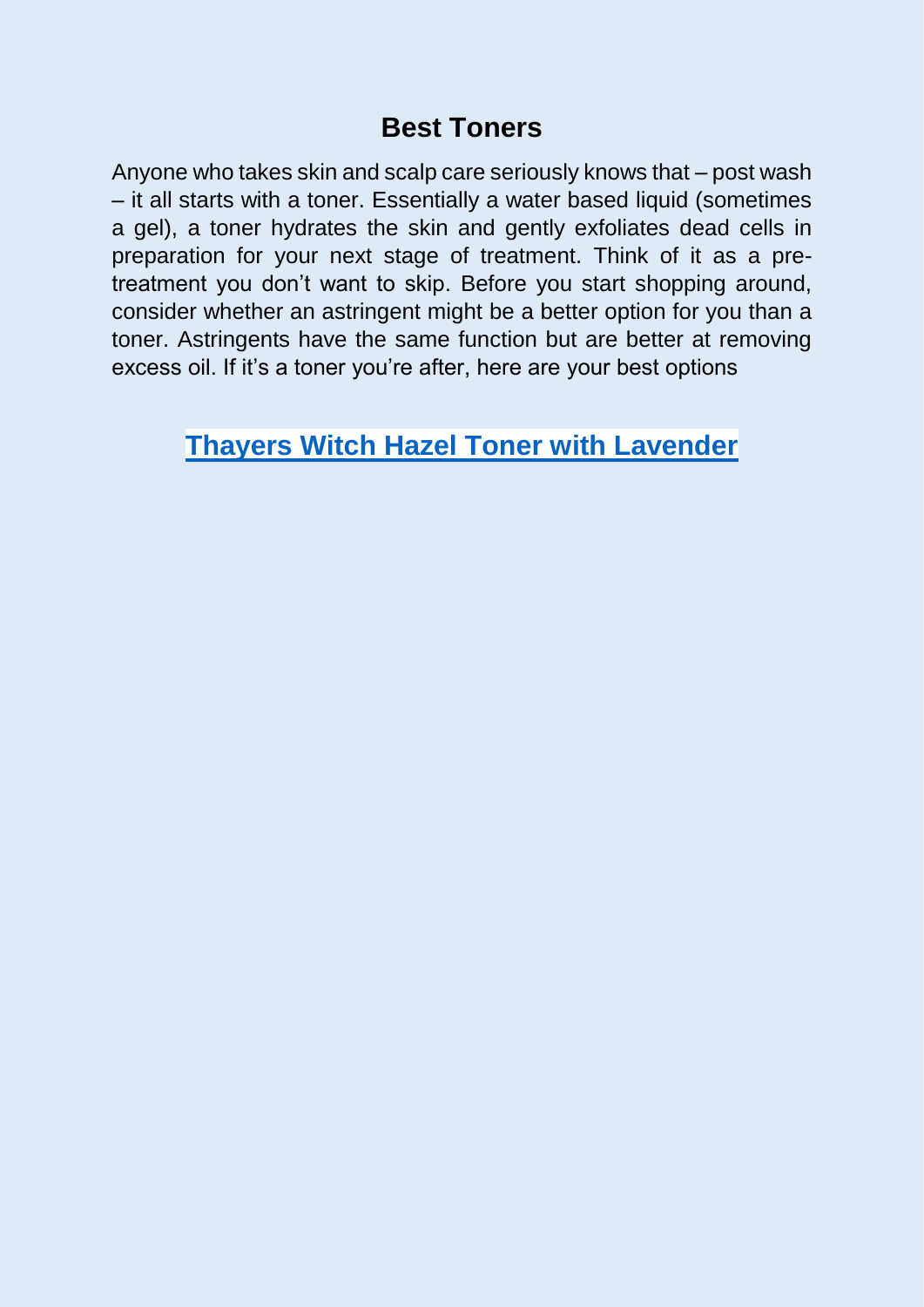## **Best Toners**

Anyone who takes skin and scalp care seriously knows that – post wash – it all starts with a toner. Essentially a water based liquid (sometimes a gel), a toner hydrates the skin and gently exfoliates dead cells in preparation for your next stage of treatment. Think of it as a pretreatment you don't want to skip. Before you start shopping around, consider whether an astringent might be a better option for you than a toner. Astringents have the same function but are better at removing excess oil. If it's a toner you're after, here are your best options

## **[Thayers Witch Hazel Toner with Lavender](https://www.thayers.com/product/all-products/premium-witch-hazel/lavender-facial-toner/)**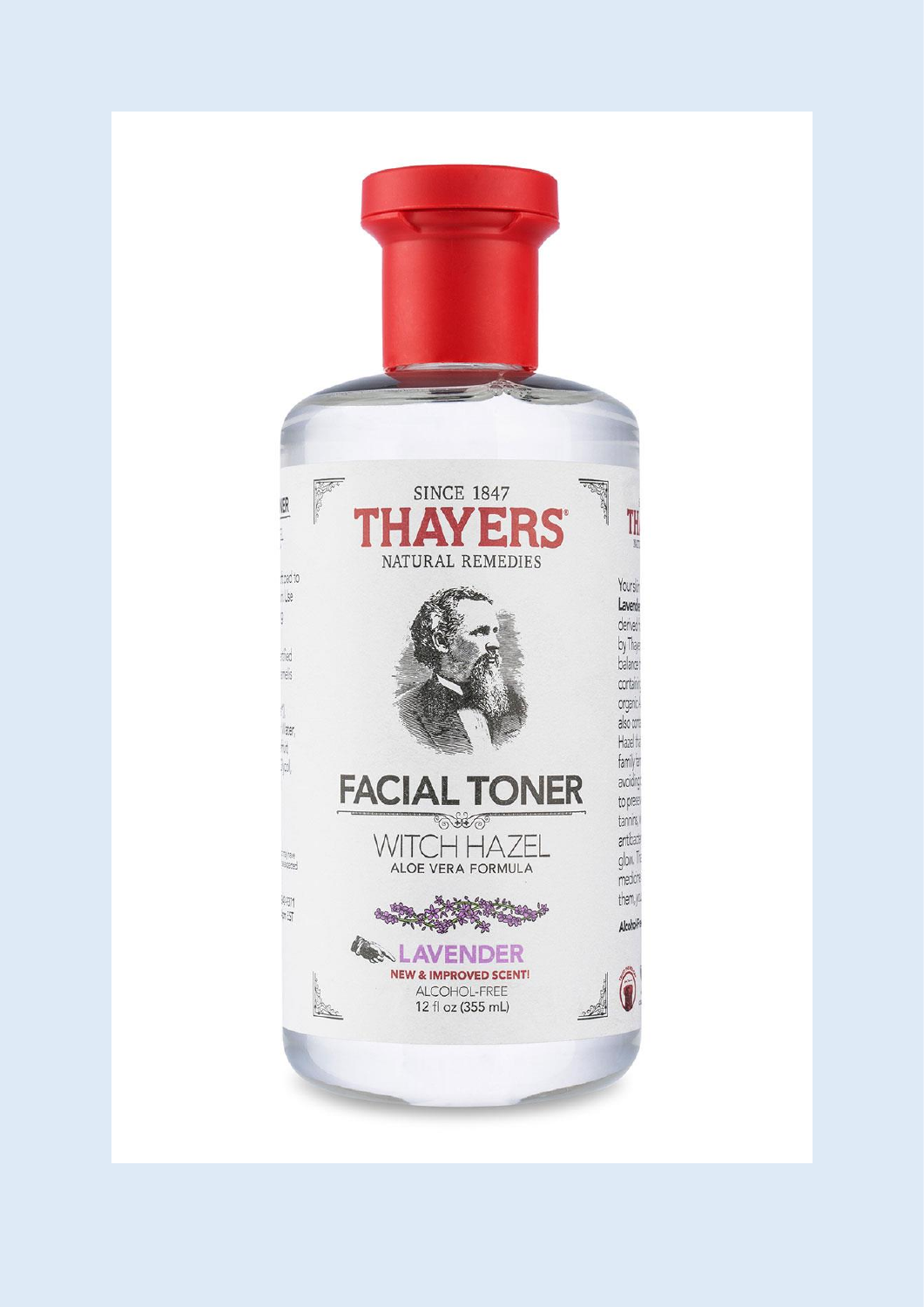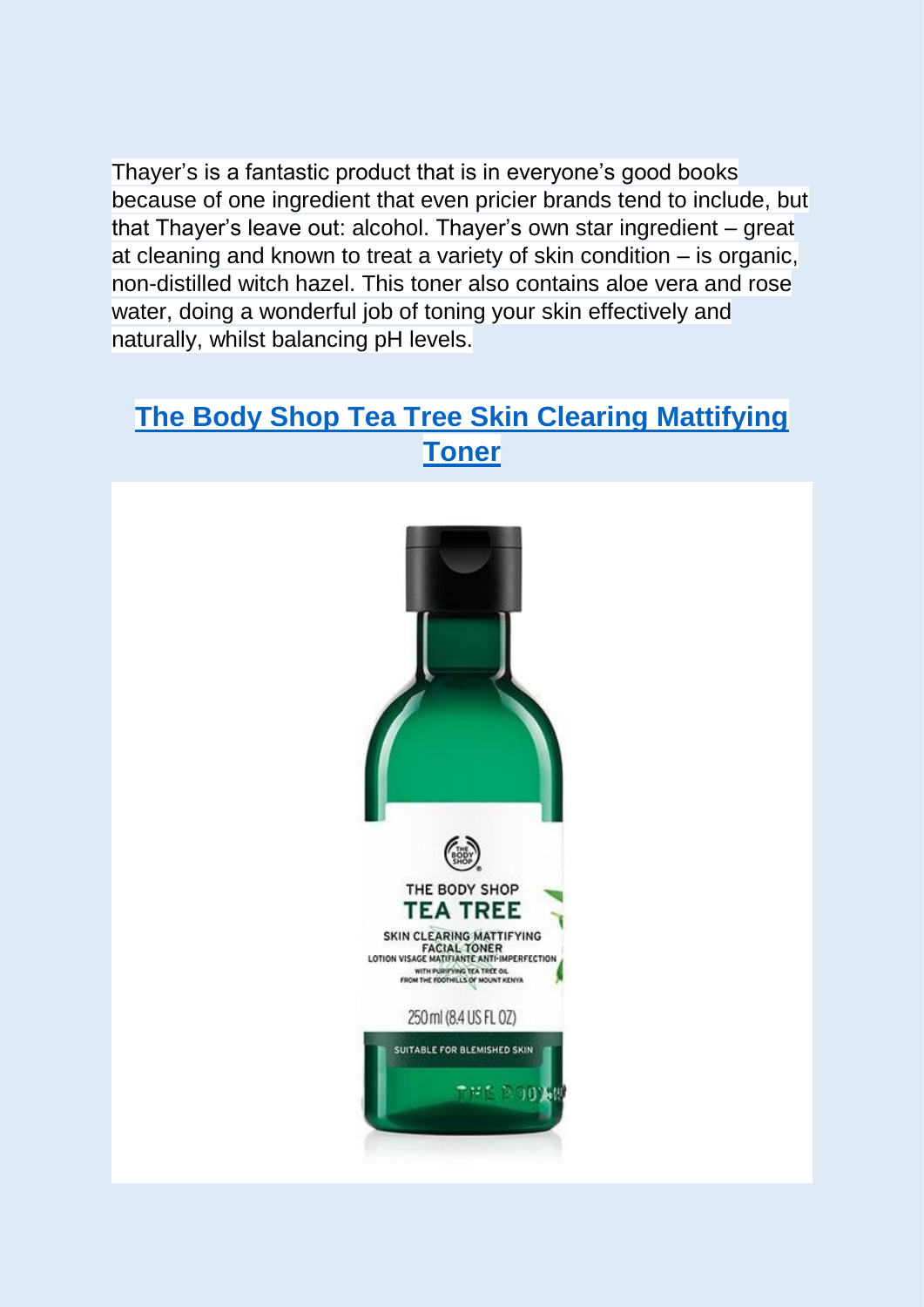Thayer's is a fantastic product that is in everyone's good books because of one ingredient that even pricier brands tend to include, but that Thayer's leave out: alcohol. Thayer's own star ingredient – great at cleaning and known to treat a variety of skin condition – is organic, non-distilled witch hazel. This toner also contains aloe vera and rose water, doing a wonderful job of toning your skin effectively and naturally, whilst balancing pH levels.

## **[The Body Shop Tea Tree Skin Clearing Mattifying](https://www.thebodyshop.com/en-gb/face/cleansers-toners/tea-tree-skin-clearing-mattifying-toner/p/p000521)  [Toner](https://www.thebodyshop.com/en-gb/face/cleansers-toners/tea-tree-skin-clearing-mattifying-toner/p/p000521)**